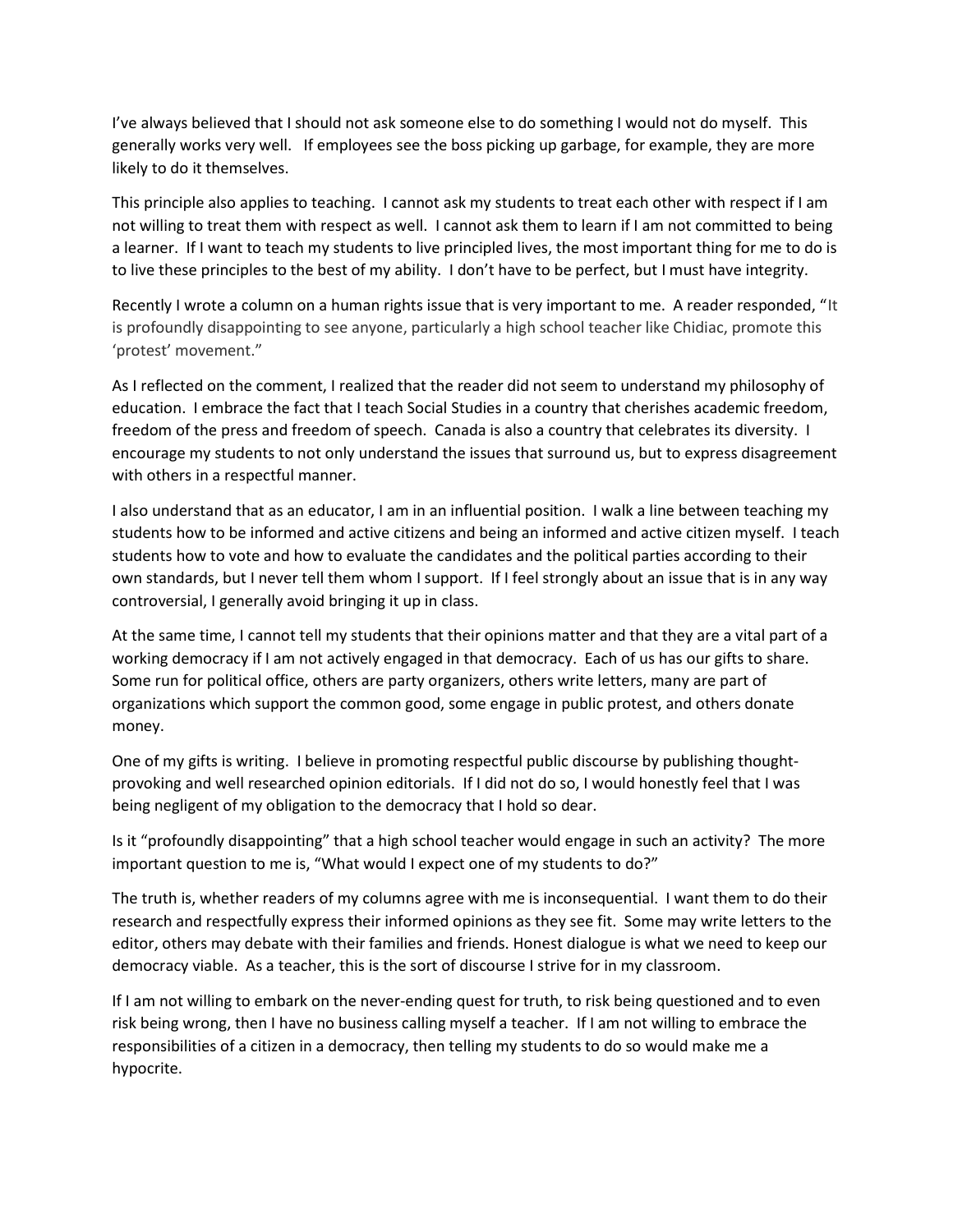I've always believed that I should not ask someone else to do something I would not do myself. This generally works very well. If employees see the boss picking up garbage, for example, they are more likely to do it themselves.

This principle also applies to teaching. I cannot ask my students to treat each other with respect if I am not willing to treat them with respect as well. I cannot ask them to learn if I am not committed to being a learner. If I want to teach my students to live principled lives, the most important thing for me to do is to live these principles to the best of my ability. I don't have to be perfect, but I must have integrity.

Recently I wrote a column on a human rights issue that is very important to me. A reader responded, "It is profoundly disappointing to see anyone, particularly a high school teacher like Chidiac, promote this 'protest' movement."

As I reflected on the comment, I realized that the reader did not seem to understand my philosophy of education. I embrace the fact that I teach Social Studies in a country that cherishes academic freedom, freedom of the press and freedom of speech. Canada is also a country that celebrates its diversity. I encourage my students to not only understand the issues that surround us, but to express disagreement with others in a respectful manner.

I also understand that as an educator, I am in an influential position. I walk a line between teaching my students how to be informed and active citizens and being an informed and active citizen myself. I teach students how to vote and how to evaluate the candidates and the political parties according to their own standards, but I never tell them whom I support. If I feel strongly about an issue that is in any way controversial, I generally avoid bringing it up in class.

At the same time, I cannot tell my students that their opinions matter and that they are a vital part of a working democracy if I am not actively engaged in that democracy. Each of us has our gifts to share. Some run for political office, others are party organizers, others write letters, many are part of organizations which support the common good, some engage in public protest, and others donate money.

One of my gifts is writing. I believe in promoting respectful public discourse by publishing thoughtprovoking and well researched opinion editorials. If I did not do so, I would honestly feel that I was being negligent of my obligation to the democracy that I hold so dear.

Is it "profoundly disappointing" that a high school teacher would engage in such an activity? The more important question to me is, "What would I expect one of my students to do?"

The truth is, whether readers of my columns agree with me is inconsequential. I want them to do their research and respectfully express their informed opinions as they see fit. Some may write letters to the editor, others may debate with their families and friends. Honest dialogue is what we need to keep our democracy viable. As a teacher, this is the sort of discourse I strive for in my classroom.

If I am not willing to embark on the never-ending quest for truth, to risk being questioned and to even risk being wrong, then I have no business calling myself a teacher. If I am not willing to embrace the responsibilities of a citizen in a democracy, then telling my students to do so would make me a hypocrite.